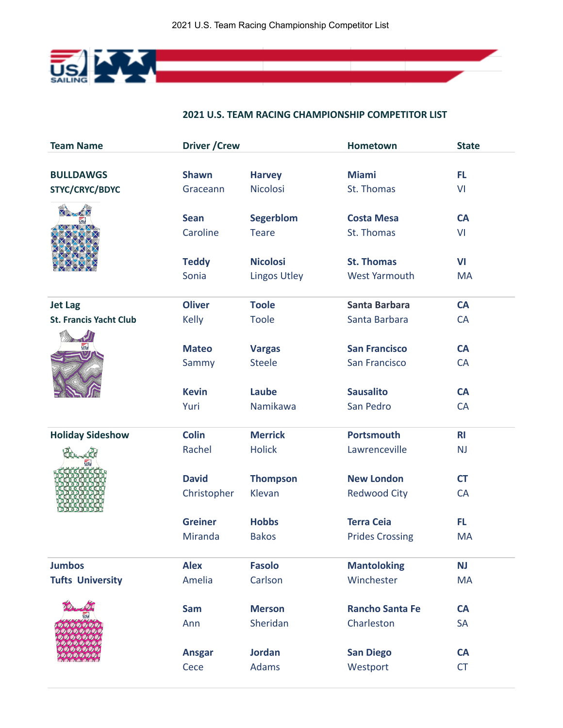

## **2021 U.S. TEAM RACING CHAMPIONSHIP COMPETITOR LIST**

**Contract Contract** 

| <b>Team Name</b>              | <b>Driver / Crew</b> |                     |                        | <b>State</b>   |
|-------------------------------|----------------------|---------------------|------------------------|----------------|
|                               |                      |                     |                        |                |
| <b>BULLDAWGS</b>              | <b>Shawn</b>         | <b>Harvey</b>       | <b>Miami</b>           | <b>FL</b>      |
| STYC/CRYC/BDYC                | Graceann             | <b>Nicolosi</b>     | St. Thomas             | VI             |
|                               |                      |                     |                        |                |
|                               | <b>Sean</b>          | <b>Segerblom</b>    | <b>Costa Mesa</b>      | <b>CA</b>      |
|                               | Caroline             | <b>Teare</b>        | St. Thomas             | VI             |
|                               | <b>Teddy</b>         | <b>Nicolosi</b>     | <b>St. Thomas</b>      | VI             |
|                               | Sonia                | <b>Lingos Utley</b> | <b>West Yarmouth</b>   | <b>MA</b>      |
|                               |                      |                     |                        |                |
| <b>Jet Lag</b>                | <b>Oliver</b>        | <b>Toole</b>        | <b>Santa Barbara</b>   | <b>CA</b>      |
| <b>St. Francis Yacht Club</b> | Kelly                | <b>Toole</b>        | Santa Barbara          | <b>CA</b>      |
|                               |                      |                     |                        |                |
| ŪS.                           | <b>Mateo</b>         | <b>Vargas</b>       | <b>San Francisco</b>   | <b>CA</b>      |
|                               | Sammy                | <b>Steele</b>       | San Francisco          | <b>CA</b>      |
|                               |                      |                     |                        |                |
|                               | <b>Kevin</b>         | Laube               | <b>Sausalito</b>       | <b>CA</b>      |
|                               | Yuri                 | Namikawa            | San Pedro              | <b>CA</b>      |
| <b>Holiday Sideshow</b>       | <b>Colin</b>         | <b>Merrick</b>      | <b>Portsmouth</b>      | R <sub>l</sub> |
|                               | Rachel               | <b>Holick</b>       | Lawrenceville          | NJ             |
|                               |                      |                     |                        |                |
|                               | <b>David</b>         | <b>Thompson</b>     | <b>New London</b>      | <b>CT</b>      |
|                               | Christopher          | Klevan              | <b>Redwood City</b>    | <b>CA</b>      |
|                               |                      |                     |                        |                |
|                               | <b>Greiner</b>       | <b>Hobbs</b>        | <b>Terra Ceia</b>      | <b>FL</b>      |
|                               | Miranda              | <b>Bakos</b>        | <b>Prides Crossing</b> | <b>MA</b>      |
| <b>Jumbos</b>                 | <b>Alex</b>          | <b>Fasolo</b>       | <b>Mantoloking</b>     | <b>NJ</b>      |
| <b>Tufts University</b>       | Amelia               | Carlson             | Winchester             | <b>MA</b>      |
|                               |                      |                     |                        |                |
|                               | <b>Sam</b>           | <b>Merson</b>       | <b>Rancho Santa Fe</b> | <b>CA</b>      |
|                               | Ann                  | Sheridan            | Charleston             | <b>SA</b>      |
|                               |                      |                     |                        |                |
|                               | <b>Ansgar</b>        | <b>Jordan</b>       | <b>San Diego</b>       | <b>CA</b>      |
|                               | Cece                 | <b>Adams</b>        | Westport               | <b>CT</b>      |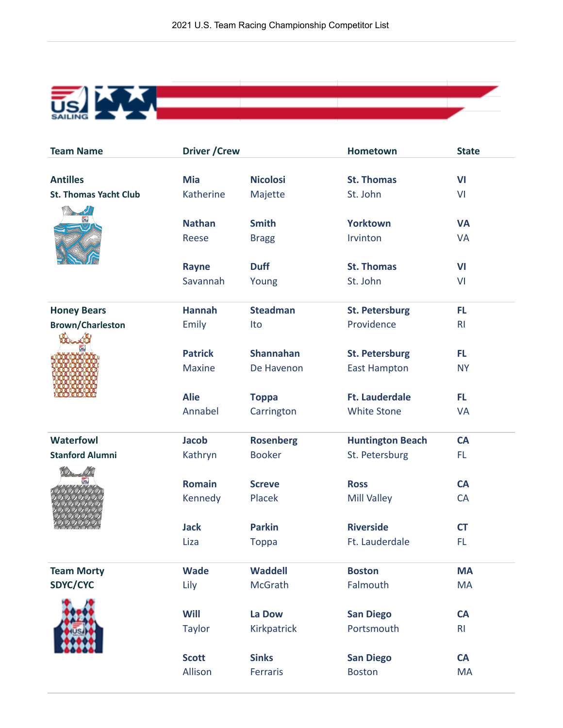

| <b>Team Name</b>             | <b>Driver / Crew</b> |                  | <b>Hometown</b>         | <b>State</b>   |
|------------------------------|----------------------|------------------|-------------------------|----------------|
|                              |                      |                  |                         |                |
| <b>Antilles</b>              | <b>Mia</b>           | <b>Nicolosi</b>  | <b>St. Thomas</b>       | VI             |
| <b>St. Thomas Yacht Club</b> | Katherine            | Majette          | St. John                | VI             |
|                              |                      |                  |                         |                |
| <u>US.</u>                   | <b>Nathan</b>        | <b>Smith</b>     | <b>Yorktown</b>         | <b>VA</b>      |
|                              | Reese                | <b>Bragg</b>     | Irvinton                | <b>VA</b>      |
|                              |                      |                  |                         |                |
|                              | Rayne                | <b>Duff</b>      | <b>St. Thomas</b>       | <b>VI</b>      |
|                              | Savannah             | Young            | St. John                | VI             |
| <b>Honey Bears</b>           | <b>Hannah</b>        | <b>Steadman</b>  | <b>St. Petersburg</b>   | <b>FL</b>      |
| <b>Brown/Charleston</b>      | Emily                | Ito              | Providence              | R <sub>l</sub> |
|                              |                      |                  |                         |                |
|                              | <b>Patrick</b>       | <b>Shannahan</b> | <b>St. Petersburg</b>   | FL.            |
|                              | <b>Maxine</b>        | De Havenon       | <b>East Hampton</b>     | <b>NY</b>      |
|                              |                      |                  |                         |                |
|                              | <b>Alie</b>          | <b>Toppa</b>     | <b>Ft. Lauderdale</b>   | FL.            |
|                              | Annabel              | Carrington       | <b>White Stone</b>      | <b>VA</b>      |
| <b>Waterfowl</b>             | <b>Jacob</b>         | <b>Rosenberg</b> | <b>Huntington Beach</b> | <b>CA</b>      |
| <b>Stanford Alumni</b>       | Kathryn              | <b>Booker</b>    | St. Petersburg          | FL.            |
|                              |                      |                  |                         |                |
|                              | <b>Romain</b>        | <b>Screve</b>    | <b>Ross</b>             | <b>CA</b>      |
|                              | Kennedy              | Placek           | <b>Mill Valley</b>      | CA             |
|                              |                      |                  |                         |                |
|                              | <b>Jack</b>          | <b>Parkin</b>    | <b>Riverside</b>        | <b>CT</b>      |
|                              | Liza                 | <b>Toppa</b>     | Ft. Lauderdale          | <b>FL</b>      |
| <b>Team Morty</b>            | <b>Wade</b>          | <b>Waddell</b>   | <b>Boston</b>           | <b>MA</b>      |
| SDYC/CYC                     | Lily                 | <b>McGrath</b>   | Falmouth                | <b>MA</b>      |
|                              |                      |                  |                         |                |
|                              | Will                 | La Dow           | <b>San Diego</b>        | <b>CA</b>      |
|                              | <b>Taylor</b>        | Kirkpatrick      | Portsmouth              | R <sub>l</sub> |
|                              |                      |                  |                         |                |
|                              | <b>Scott</b>         | <b>Sinks</b>     | <b>San Diego</b>        | <b>CA</b>      |
|                              | Allison              | Ferraris         | <b>Boston</b>           | <b>MA</b>      |
|                              |                      |                  |                         |                |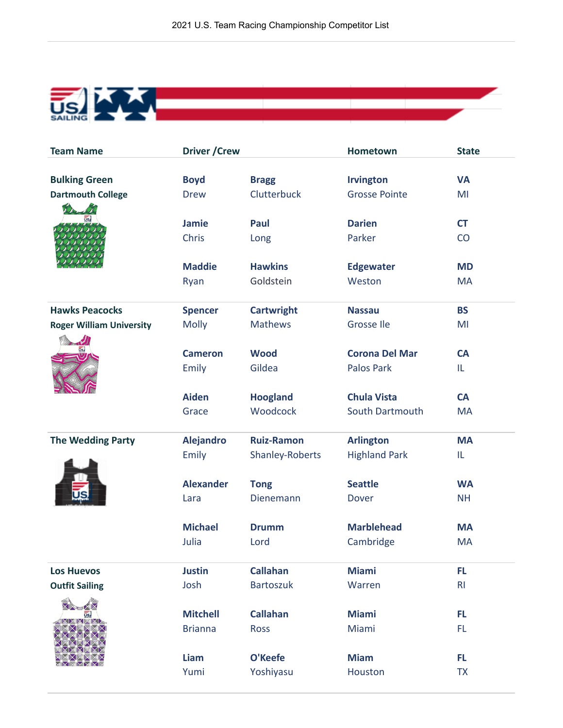

| <b>Team Name</b>                | <b>Driver / Crew</b> |                   | <b>Hometown</b>       | <b>State</b>   |
|---------------------------------|----------------------|-------------------|-----------------------|----------------|
|                                 |                      |                   |                       |                |
| <b>Bulking Green</b>            | <b>Boyd</b>          | <b>Bragg</b>      | <b>Irvington</b>      | <b>VA</b>      |
| <b>Dartmouth College</b>        | <b>Drew</b>          | Clutterbuck       | <b>Grosse Pointe</b>  | MI             |
|                                 | <b>Jamie</b>         | Paul              | <b>Darien</b>         | <b>CT</b>      |
|                                 | Chris                | Long              | Parker                | CO             |
|                                 | <b>Maddie</b>        | <b>Hawkins</b>    | <b>Edgewater</b>      | <b>MD</b>      |
|                                 | Ryan                 | Goldstein         | Weston                | <b>MA</b>      |
| <b>Hawks Peacocks</b>           | <b>Spencer</b>       | <b>Cartwright</b> | <b>Nassau</b>         | <b>BS</b>      |
| <b>Roger William University</b> | <b>Molly</b>         | <b>Mathews</b>    | Grosse Ile            | MI             |
|                                 |                      |                   |                       |                |
|                                 | <b>Cameron</b>       | <b>Wood</b>       | <b>Corona Del Mar</b> | <b>CA</b>      |
|                                 | Emily                | Gildea            | <b>Palos Park</b>     | IL             |
|                                 | <b>Aiden</b>         | <b>Hoogland</b>   | <b>Chula Vista</b>    | <b>CA</b>      |
|                                 | Grace                | Woodcock          | South Dartmouth       | <b>MA</b>      |
| <b>The Wedding Party</b>        | <b>Alejandro</b>     | <b>Ruiz-Ramon</b> | <b>Arlington</b>      | <b>MA</b>      |
|                                 | Emily                | Shanley-Roberts   | <b>Highland Park</b>  | IL             |
|                                 | <b>Alexander</b>     | <b>Tong</b>       | <b>Seattle</b>        | <b>WA</b>      |
|                                 | Lara                 | Dienemann         | <b>Dover</b>          | <b>NH</b>      |
|                                 | <b>Michael</b>       | <b>Drumm</b>      | <b>Marblehead</b>     | <b>MA</b>      |
|                                 | Julia                | Lord              | Cambridge             | <b>MA</b>      |
| <b>Los Huevos</b>               | <b>Justin</b>        | <b>Callahan</b>   | <b>Miami</b>          | FL             |
| <b>Outfit Sailing</b>           | Josh                 | <b>Bartoszuk</b>  | Warren                | R <sub>l</sub> |
|                                 |                      |                   |                       |                |
|                                 | <b>Mitchell</b>      | <b>Callahan</b>   | <b>Miami</b>          | <b>FL</b>      |
|                                 | <b>Brianna</b>       | <b>Ross</b>       | Miami                 | FL.            |
|                                 | Liam                 | O'Keefe           | <b>Miam</b>           | FL             |
|                                 | Yumi                 | Yoshiyasu         | Houston               | <b>TX</b>      |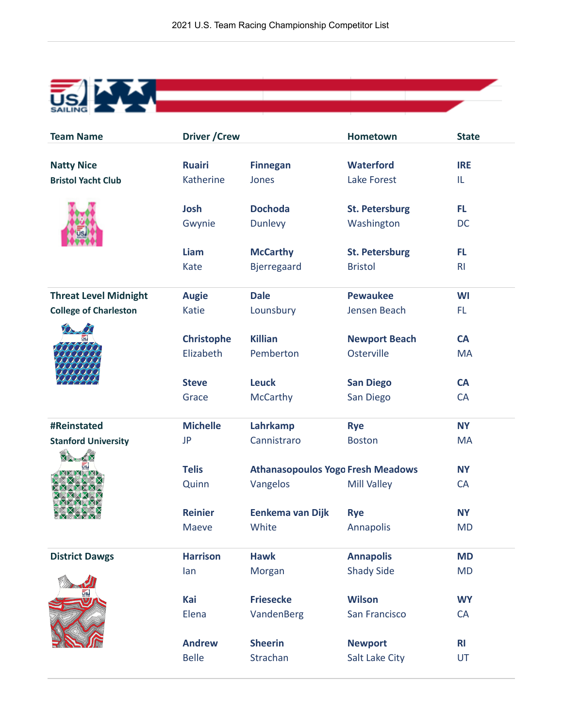| <b>Team Name</b>             | <b>Driver / Crew</b> |                                          | Hometown                              | <b>State</b>           |
|------------------------------|----------------------|------------------------------------------|---------------------------------------|------------------------|
|                              |                      |                                          |                                       |                        |
| <b>Natty Nice</b>            | <b>Ruairi</b>        | <b>Finnegan</b>                          | <b>Waterford</b>                      | <b>IRE</b>             |
| <b>Bristol Yacht Club</b>    | Katherine            | Jones                                    | <b>Lake Forest</b>                    | IL                     |
|                              | Josh                 | <b>Dochoda</b>                           | <b>St. Petersburg</b>                 | FL.                    |
|                              | Gwynie               | <b>Dunlevy</b>                           | Washington                            | DC                     |
|                              |                      |                                          |                                       |                        |
|                              | Liam                 | <b>McCarthy</b>                          | <b>St. Petersburg</b>                 | FL                     |
|                              | Kate                 | <b>Bjerregaard</b>                       | <b>Bristol</b>                        | R <sub>l</sub>         |
|                              |                      |                                          |                                       |                        |
| <b>Threat Level Midnight</b> | <b>Augie</b>         | <b>Dale</b>                              | <b>Pewaukee</b>                       | <b>WI</b>              |
| <b>College of Charleston</b> | <b>Katie</b>         | Lounsbury                                | Jensen Beach                          | FL.                    |
|                              | <b>Christophe</b>    | <b>Killian</b>                           | <b>Newport Beach</b>                  | <b>CA</b>              |
|                              | Elizabeth            | Pemberton                                | Osterville                            | <b>MA</b>              |
|                              |                      |                                          |                                       |                        |
|                              | <b>Steve</b>         | <b>Leuck</b>                             | <b>San Diego</b>                      | CA                     |
|                              | Grace                | McCarthy                                 | San Diego                             | <b>CA</b>              |
|                              |                      |                                          |                                       |                        |
| #Reinstated                  | <b>Michelle</b>      | Lahrkamp<br>Cannistraro                  | <b>Rye</b>                            | <b>NY</b>              |
| <b>Stanford University</b>   | JP                   |                                          | <b>Boston</b>                         | <b>MA</b>              |
|                              | <b>Telis</b>         | <b>Athanasopoulos Yogo Fresh Meadows</b> |                                       | <b>NY</b>              |
|                              | Quinn                | Vangelos                                 | <b>Mill Valley</b>                    | CA                     |
|                              |                      |                                          |                                       |                        |
|                              | <b>Reinier</b>       | Eenkema van Dijk                         | <b>Rye</b>                            | <b>NY</b>              |
|                              | <b>Maeve</b>         | White                                    | Annapolis                             | <b>MD</b>              |
|                              | <b>Harrison</b>      |                                          |                                       |                        |
| <b>District Dawgs</b>        | lan                  | <b>Hawk</b><br>Morgan                    | <b>Annapolis</b><br><b>Shady Side</b> | <b>MD</b><br><b>MD</b> |
|                              |                      |                                          |                                       |                        |
| ūs.                          | Kai                  | <b>Friesecke</b>                         | <b>Wilson</b>                         | <b>WY</b>              |
|                              | Elena                | VandenBerg                               | San Francisco                         | CA                     |
|                              |                      |                                          |                                       |                        |
|                              | <b>Andrew</b>        | <b>Sheerin</b>                           | <b>Newport</b>                        | R <sub>l</sub>         |
|                              | <b>Belle</b>         | Strachan                                 | Salt Lake City                        | UT                     |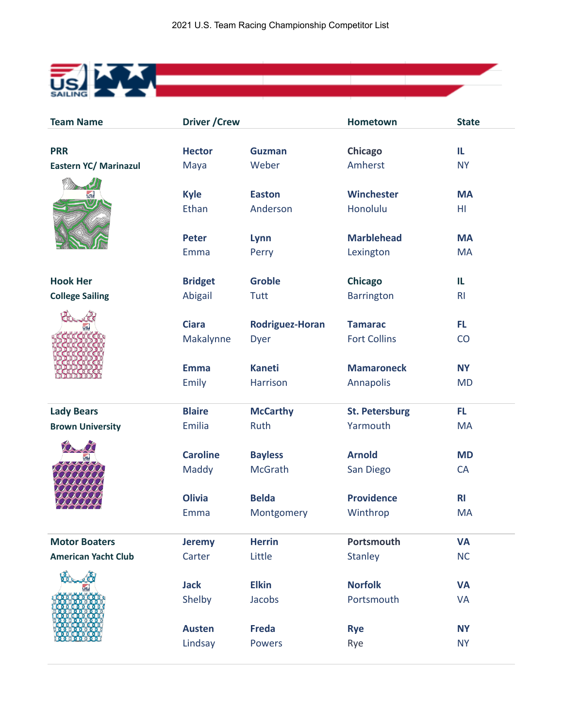

| <b>Team Name</b>           | <b>Driver / Crew</b> |                        | <b>Hometown</b>       | <b>State</b>   |
|----------------------------|----------------------|------------------------|-----------------------|----------------|
|                            |                      |                        |                       |                |
| <b>PRR</b>                 | <b>Hector</b>        | <b>Guzman</b>          | <b>Chicago</b>        | IL             |
| Eastern YC/ Marinazul      | Maya                 | Weber                  | Amherst               | <b>NY</b>      |
|                            |                      |                        |                       |                |
| us/                        | <b>Kyle</b>          | <b>Easton</b>          | Winchester            | <b>MA</b>      |
|                            | Ethan                | Anderson               | Honolulu              | HI.            |
|                            |                      |                        |                       |                |
|                            | <b>Peter</b>         | Lynn                   | <b>Marblehead</b>     | <b>MA</b>      |
|                            | Emma                 | Perry                  | Lexington             | <b>MA</b>      |
| <b>Hook Her</b>            | <b>Bridget</b>       | <b>Groble</b>          | <b>Chicago</b>        | IL             |
| <b>College Sailing</b>     | Abigail              | Tutt                   | <b>Barrington</b>     | R <sub>l</sub> |
|                            |                      |                        |                       |                |
|                            | <b>Ciara</b>         | <b>Rodriguez-Horan</b> | <b>Tamarac</b>        | FL             |
|                            | Makalynne            | Dyer                   | <b>Fort Collins</b>   | CO             |
|                            |                      |                        |                       |                |
|                            | <b>Emma</b>          | <b>Kaneti</b>          | <b>Mamaroneck</b>     | <b>NY</b>      |
|                            | Emily                | Harrison               | Annapolis             | <b>MD</b>      |
|                            |                      |                        |                       |                |
| <b>Lady Bears</b>          | <b>Blaire</b>        | <b>McCarthy</b>        | <b>St. Petersburg</b> | <b>FL</b>      |
| <b>Brown University</b>    | Emilia               | Ruth                   | Yarmouth              | <b>MA</b>      |
|                            |                      |                        |                       |                |
|                            | <b>Caroline</b>      | <b>Bayless</b>         | <b>Arnold</b>         | <b>MD</b>      |
|                            | Maddy                | <b>McGrath</b>         | San Diego             | CA             |
|                            |                      |                        |                       |                |
|                            | <b>Olivia</b>        | <b>Belda</b>           | <b>Providence</b>     | R <sub>l</sub> |
|                            | Emma                 | Montgomery             | Winthrop              | <b>MA</b>      |
| <b>Motor Boaters</b>       | <b>Jeremy</b>        | <b>Herrin</b>          | Portsmouth            | <b>VA</b>      |
| <b>American Yacht Club</b> | Carter               | Little                 | <b>Stanley</b>        | <b>NC</b>      |
|                            |                      |                        |                       |                |
|                            | <b>Jack</b>          | <b>Elkin</b>           | <b>Norfolk</b>        | <b>VA</b>      |
|                            | Shelby               | Jacobs                 | Portsmouth            | <b>VA</b>      |
|                            |                      |                        |                       |                |
|                            | <b>Austen</b>        | <b>Freda</b>           | <b>Rye</b>            | <b>NY</b>      |
|                            | Lindsay              | <b>Powers</b>          | Rye                   | <b>NY</b>      |
|                            |                      |                        |                       |                |